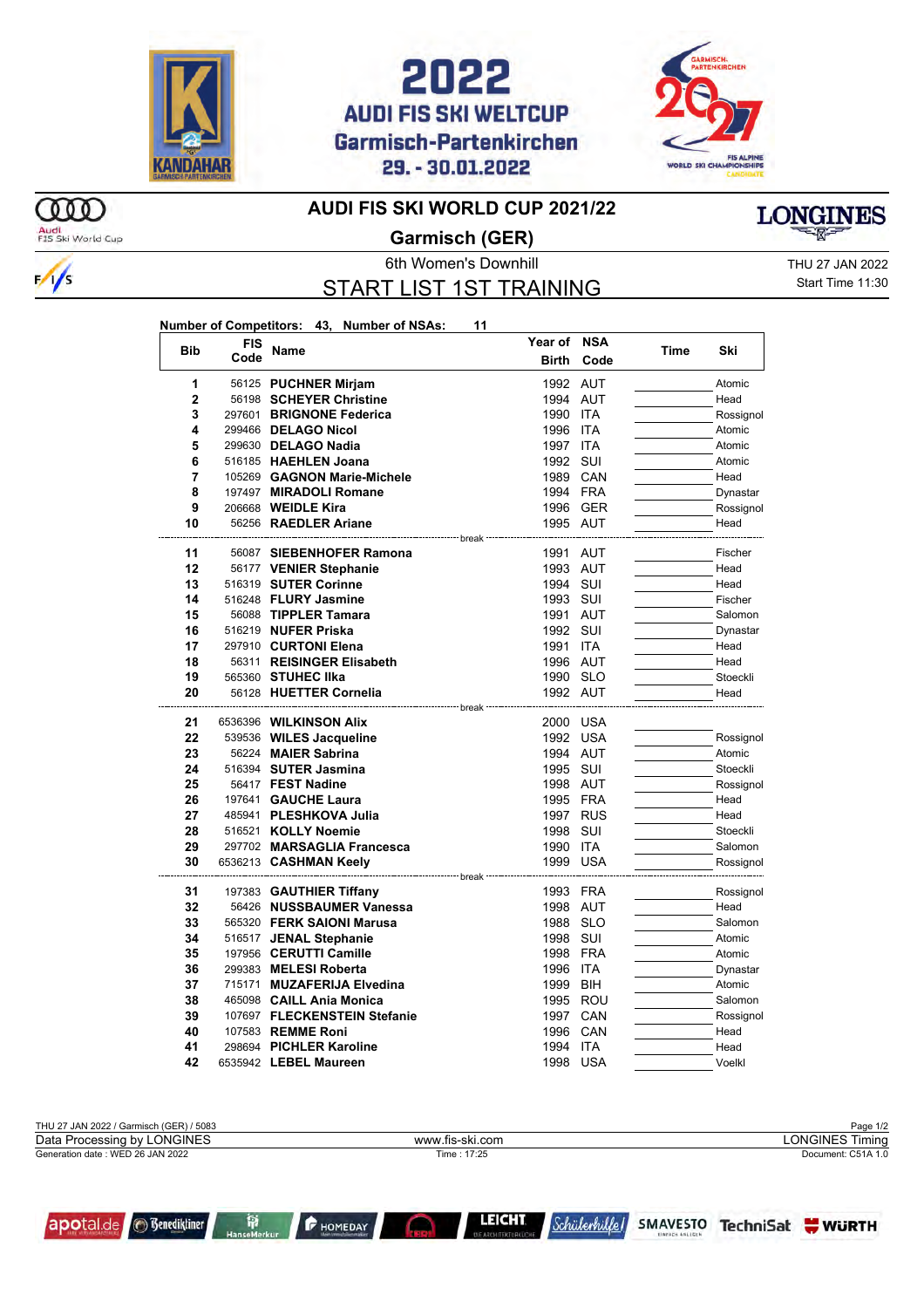





## **AUDI FIS SKI WORLD CUP 2021/22**



 $\frac{1}{s}$ 

## **Garmisch (GER)**

START LIST 1ST TRAINING

**Number of Competitors: 43, Number of NSAs: 11**

6th Women's Downhill THU 27 JAN 2022 Start Time 11:30

**LONGINES** 

|  | <b>Bib</b>     | <b>FIS</b><br>Code | <b>Name</b>                                                      | Year of      | <b>NSA</b> | Time | Ski              |
|--|----------------|--------------------|------------------------------------------------------------------|--------------|------------|------|------------------|
|  |                |                    |                                                                  | <b>Birth</b> | Code       |      |                  |
|  | 1              |                    | 56125 PUCHNER Mirjam                                             | 1992 AUT     |            |      | Atomic           |
|  | $\overline{2}$ |                    | 56198 SCHEYER Christine                                          | 1994 AUT     |            |      | Head             |
|  | 3              |                    | 297601 BRIGNONE Federica                                         | 1990         | ITA        |      | Rossignol        |
|  | 4              |                    | 299466 DELAGO Nicol                                              | 1996         | <b>ITA</b> |      | Atomic           |
|  | 5              |                    | 299630 DELAGO Nadia                                              | 1997         | ITA        |      | Atomic           |
|  | 6              |                    | 516185 HAEHLEN Joana                                             | 1992 SUI     |            |      | Atomic           |
|  | 7              |                    | 105269 GAGNON Marie-Michele                                      |              | 1989 CAN   |      | Head             |
|  | 8              |                    | 197497 MIRADOLI Romane                                           |              | 1994 FRA   |      | Dynastar         |
|  | 9              |                    | 206668 <b>WEIDLE Kira</b>                                        |              | 1996 GER   |      | Rossignol        |
|  | 10             |                    | 56256 RAEDLER Ariane                                             | 1995 AUT     |            |      | Head             |
|  |                |                    | ------------------ break                                         |              |            |      |                  |
|  | 11             |                    | 56087 SIEBENHOFER Ramona                                         | 1991 AUT     |            |      | Fischer          |
|  | 12             |                    | 56177 VENIER Stephanie                                           | 1993 AUT     |            |      | Head             |
|  | 13             |                    | 516319 SUTER Corinne                                             | 1994 SUI     |            |      | Head             |
|  | 14             |                    | 516248 FLURY Jasmine                                             | 1993 SUI     |            |      | Fischer          |
|  | 15             |                    | 56088 TIPPLER Tamara                                             | 1991 AUT     |            |      | Salomon          |
|  | 16             |                    | 516219 NUFER Priska                                              | 1992 SUI     |            |      | Dynastar         |
|  | 17             |                    | 297910 CURTONI Elena                                             | 1991         | ITA        |      | Head             |
|  | 18             |                    | 56311 REISINGER Elisabeth                                        | 1996 AUT     |            |      | Head             |
|  | 19<br>20       |                    | 565360 STUHEC IIka                                               | 1990 SLO     |            |      | Stoeckli<br>Head |
|  |                |                    | 56128 HUETTER Cornelia<br>------------------- break <sup>.</sup> | 1992 AUT     |            |      |                  |
|  | 21             |                    | 6536396 <b>WILKINSON Alix</b>                                    | 2000 USA     |            |      |                  |
|  | 22             |                    | 539536 WILES Jacqueline                                          |              | 1992 USA   |      | Rossignol        |
|  | 23             |                    | 56224 MAIER Sabrina                                              | 1994 AUT     |            |      | Atomic           |
|  | 24             |                    | 516394 SUTER Jasmina                                             | 1995 SUI     |            |      | Stoeckli         |
|  | 25             |                    | 56417 FEST Nadine                                                | 1998 AUT     |            |      | Rossignol        |
|  | 26             |                    | 197641 GAUCHE Laura                                              | 1995 FRA     |            |      | Head             |
|  | 27             |                    | 485941 PLESHKOVA Julia                                           |              | 1997 RUS   |      | Head             |
|  | 28             |                    | 516521 KOLLY Noemie                                              | 1998 SUI     |            |      | Stoeckli         |
|  | 29             |                    | 297702 MARSAGLIA Francesca                                       | 1990         | ITA        |      | Salomon          |
|  | 30             |                    | 6536213 <b>CASHMAN Keely</b>                                     | 1999         | USA        |      | Rossignol        |
|  |                |                    | ----------------------- break                                    |              |            |      |                  |
|  | 31             |                    | 197383 GAUTHIER Tiffany                                          | 1993 FRA     |            |      | Rossignol        |
|  | 32             |                    | 56426 NUSSBAUMER Vanessa                                         | 1998 AUT     |            |      | Head             |
|  | 33             |                    | 565320 FERK SAIONI Marusa                                        | 1988 SLO     |            |      | Salomon          |
|  | 34             |                    | 516517 JENAL Stephanie                                           | 1998 SUI     |            |      | Atomic           |
|  | 35             |                    | 197956 CERUTTI Camille                                           | 1998         | FRA        |      | Atomic           |
|  | 36             |                    | 299383 MELESI Roberta                                            | 1996 ITA     |            |      | Dynastar         |
|  | 37             |                    | 715171 MUZAFERIJA Elvedina                                       | 1999 BIH     |            |      | Atomic           |
|  | 38             |                    | 465098 CAILL Ania Monica                                         |              | 1995 ROU   |      | Salomon          |
|  | 39             |                    | 107697 FLECKENSTEIN Stefanie                                     |              | 1997 CAN   |      | Rossignol        |
|  | 40             |                    | 107583 REMME Roni                                                | 1996         | CAN        |      | Head             |
|  | 41             |                    | 298694 PICHLER Karoline                                          | 1994         | <b>ITA</b> |      | Head             |
|  | 42             |                    | 6535942 LEBEL Maureen                                            | 1998 USA     |            |      | Voelkl           |





**P** HOMEDAY

**LEICHT**